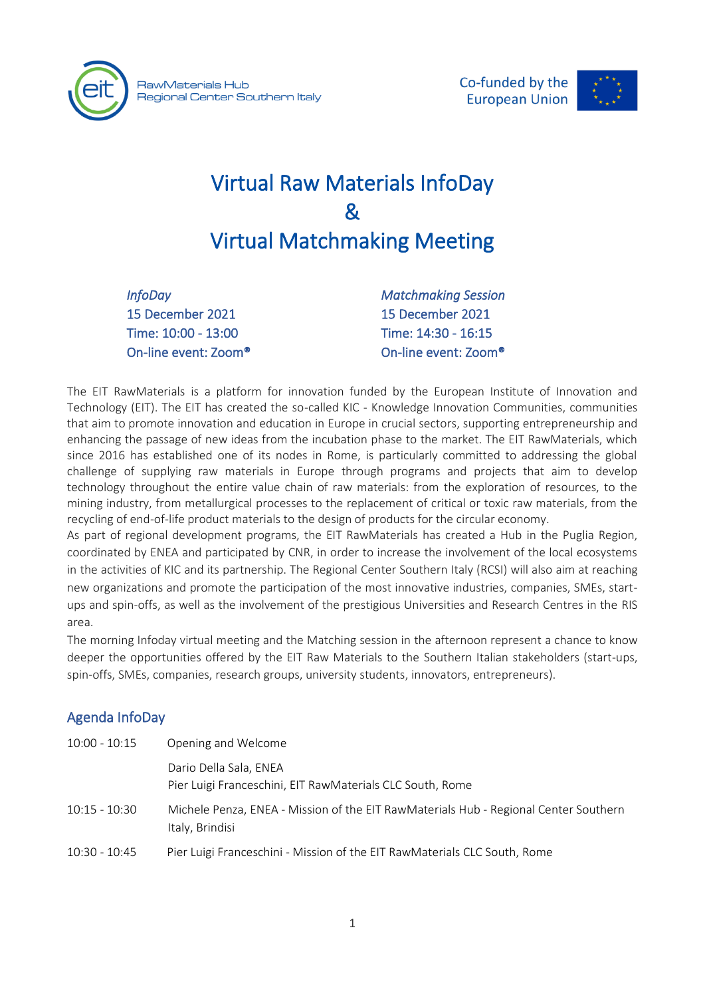



# Virtual Raw Materials InfoDay & Virtual Matchmaking Meeting

*InfoDay*  15 December 2021 Time: 10:00 - 13:00 On-line event: Zoom® *Matchmaking Session*  15 December 2021 Time: 14:30 - 16:15 On-line event: Zoom®

The EIT RawMaterials is a platform for innovation funded by the European Institute of Innovation and Technology (EIT). The EIT has created the so-called KIC - Knowledge Innovation Communities, communities that aim to promote innovation and education in Europe in crucial sectors, supporting entrepreneurship and enhancing the passage of new ideas from the incubation phase to the market. The EIT RawMaterials, which since 2016 has established one of its nodes in Rome, is particularly committed to addressing the global challenge of supplying raw materials in Europe through programs and projects that aim to develop technology throughout the entire value chain of raw materials: from the exploration of resources, to the mining industry, from metallurgical processes to the replacement of critical or toxic raw materials, from the recycling of end-of-life product materials to the design of products for the circular economy.

As part of regional development programs, the EIT RawMaterials has created a Hub in the Puglia Region, coordinated by ENEA and participated by CNR, in order to increase the involvement of the local ecosystems in the activities of KIC and its partnership. The Regional Center Southern Italy (RCSI) will also aim at reaching new organizations and promote the participation of the most innovative industries, companies, SMEs, startups and spin-offs, as well as the involvement of the prestigious Universities and Research Centres in the RIS area.

The morning Infoday virtual meeting and the Matching session in the afternoon represent a chance to know deeper the opportunities offered by the EIT Raw Materials to the Southern Italian stakeholders (start-ups, spin-offs, SMEs, companies, research groups, university students, innovators, entrepreneurs).

## Agenda InfoDay

| $10:00 - 10:15$ | Opening and Welcome                                                                                     |
|-----------------|---------------------------------------------------------------------------------------------------------|
|                 | Dario Della Sala, ENEA<br>Pier Luigi Franceschini, EIT RawMaterials CLC South, Rome                     |
| $10:15 - 10:30$ | Michele Penza, ENEA - Mission of the EIT RawMaterials Hub - Regional Center Southern<br>Italy, Brindisi |
| $10:30 - 10:45$ | Pier Luigi Franceschini - Mission of the EIT RawMaterials CLC South, Rome                               |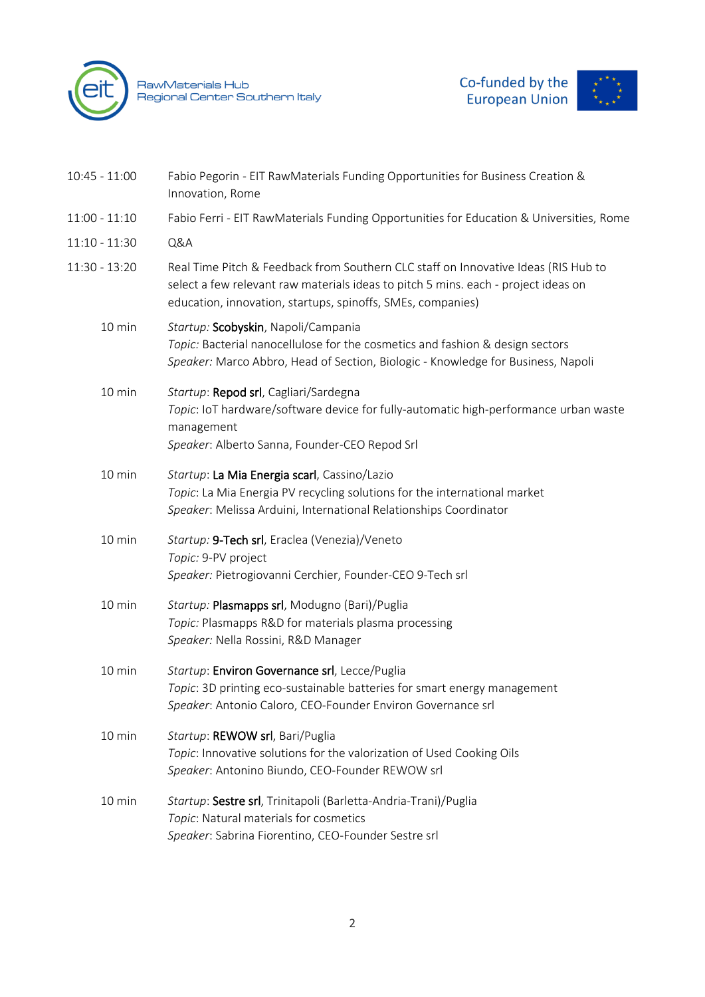

RawMaterials Hub<br>Regional Center Southern Italy



| $10:45 - 11:00$ | Fabio Pegorin - EIT RawMaterials Funding Opportunities for Business Creation &<br>Innovation, Rome                                                                                                                                      |
|-----------------|-----------------------------------------------------------------------------------------------------------------------------------------------------------------------------------------------------------------------------------------|
| $11:00 - 11:10$ | Fabio Ferri - EIT RawMaterials Funding Opportunities for Education & Universities, Rome                                                                                                                                                 |
| $11:10 - 11:30$ | Q&A                                                                                                                                                                                                                                     |
| 11:30 - 13:20   | Real Time Pitch & Feedback from Southern CLC staff on Innovative Ideas (RIS Hub to<br>select a few relevant raw materials ideas to pitch 5 mins. each - project ideas on<br>education, innovation, startups, spinoffs, SMEs, companies) |
| 10 min          | Startup: Scobyskin, Napoli/Campania<br>Topic: Bacterial nanocellulose for the cosmetics and fashion & design sectors<br>Speaker: Marco Abbro, Head of Section, Biologic - Knowledge for Business, Napoli                                |
| 10 min          | Startup: Repod srl, Cagliari/Sardegna<br>Topic: IoT hardware/software device for fully-automatic high-performance urban waste<br>management<br>Speaker: Alberto Sanna, Founder-CEO Repod Srl                                            |
| 10 min          | Startup: La Mia Energia scarl, Cassino/Lazio<br>Topic: La Mia Energia PV recycling solutions for the international market<br>Speaker: Melissa Arduini, International Relationships Coordinator                                          |
| 10 min          | Startup: 9-Tech srl, Eraclea (Venezia)/Veneto<br>Topic: 9-PV project<br>Speaker: Pietrogiovanni Cerchier, Founder-CEO 9-Tech srl                                                                                                        |
| 10 min          | Startup: Plasmapps srl, Modugno (Bari)/Puglia<br>Topic: Plasmapps R&D for materials plasma processing<br>Speaker: Nella Rossini, R&D Manager                                                                                            |
| 10 min          | Startup: Environ Governance srl, Lecce/Puglia<br>Topic: 3D printing eco-sustainable batteries for smart energy management<br>Speaker: Antonio Caloro, CEO-Founder Environ Governance srl                                                |
| 10 min          | Startup: REWOW srl, Bari/Puglia<br>Topic: Innovative solutions for the valorization of Used Cooking Oils<br>Speaker: Antonino Biundo, CEO-Founder REWOW srl                                                                             |
| 10 min          | Startup: Sestre srl, Trinitapoli (Barletta-Andria-Trani)/Puglia<br>Topic: Natural materials for cosmetics<br>Speaker: Sabrina Fiorentino, CEO-Founder Sestre srl                                                                        |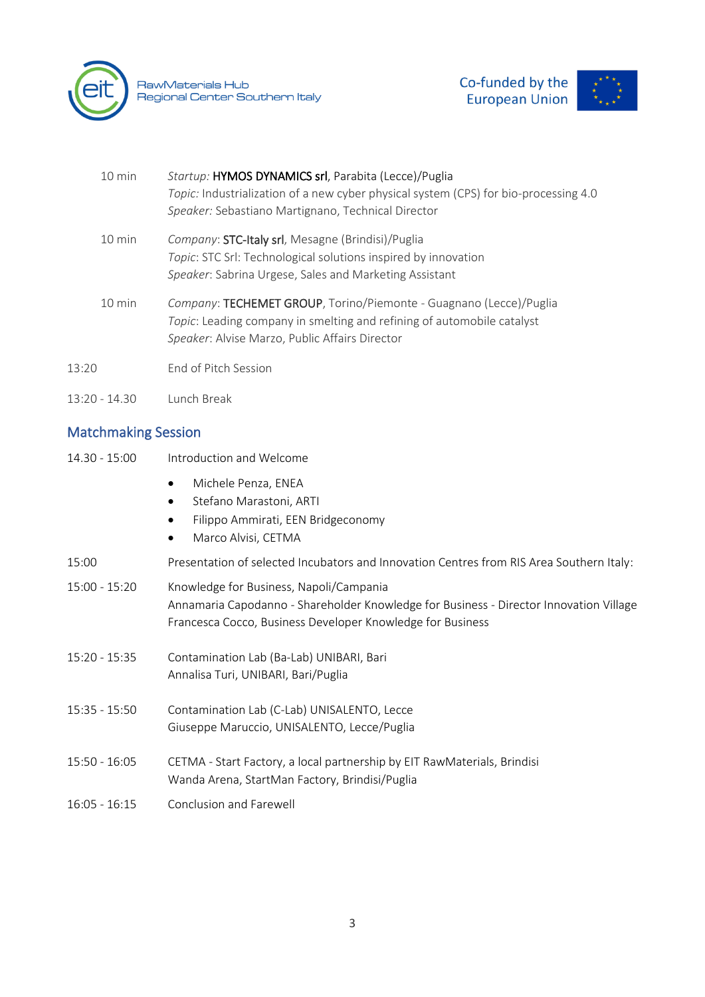

RawMaterials Hub<br>Regional Center Southern Italy



| $10 \text{ min}$ | Startup: HYMOS DYNAMICS srl, Parabita (Lecce)/Puglia<br>Topic: Industrialization of a new cyber physical system (CPS) for bio-processing 4.0<br>Speaker: Sebastiano Martignano, Technical Director    |
|------------------|-------------------------------------------------------------------------------------------------------------------------------------------------------------------------------------------------------|
| $10 \text{ min}$ | Company: STC-Italy srl, Mesagne (Brindisi)/Puglia<br>Topic: STC Srl: Technological solutions inspired by innovation<br>Speaker: Sabrina Urgese, Sales and Marketing Assistant                         |
| $10 \text{ min}$ | Company: TECHEMET GROUP, Torino/Piemonte - Guagnano (Lecce)/Puglia<br>Topic: Leading company in smelting and refining of automobile catalyst<br><i>Speaker: Alvise Marzo, Public Affairs Director</i> |
| 13:20            | <b>End of Pitch Session</b>                                                                                                                                                                           |
| $13:20 - 14.30$  | Lunch Break                                                                                                                                                                                           |

# Matchmaking Session

| 14.30 - 15:00   | Introduction and Welcome                                                                                                                                                                        |
|-----------------|-------------------------------------------------------------------------------------------------------------------------------------------------------------------------------------------------|
|                 | Michele Penza, ENEA<br>$\bullet$<br>Stefano Marastoni, ARTI<br>$\bullet$<br>Filippo Ammirati, EEN Bridgeconomy<br>Marco Alvisi, CETMA<br>$\bullet$                                              |
| 15:00           | Presentation of selected Incubators and Innovation Centres from RIS Area Southern Italy:                                                                                                        |
| $15:00 - 15:20$ | Knowledge for Business, Napoli/Campania<br>Annamaria Capodanno - Shareholder Knowledge for Business - Director Innovation Village<br>Francesca Cocco, Business Developer Knowledge for Business |
| $15:20 - 15:35$ | Contamination Lab (Ba-Lab) UNIBARI, Bari<br>Annalisa Turi, UNIBARI, Bari/Puglia                                                                                                                 |
| $15:35 - 15:50$ | Contamination Lab (C-Lab) UNISALENTO, Lecce<br>Giuseppe Maruccio, UNISALENTO, Lecce/Puglia                                                                                                      |
| $15:50 - 16:05$ | CETMA - Start Factory, a local partnership by EIT RawMaterials, Brindisi<br>Wanda Arena, StartMan Factory, Brindisi/Puglia                                                                      |
| $16:05 - 16:15$ | Conclusion and Farewell                                                                                                                                                                         |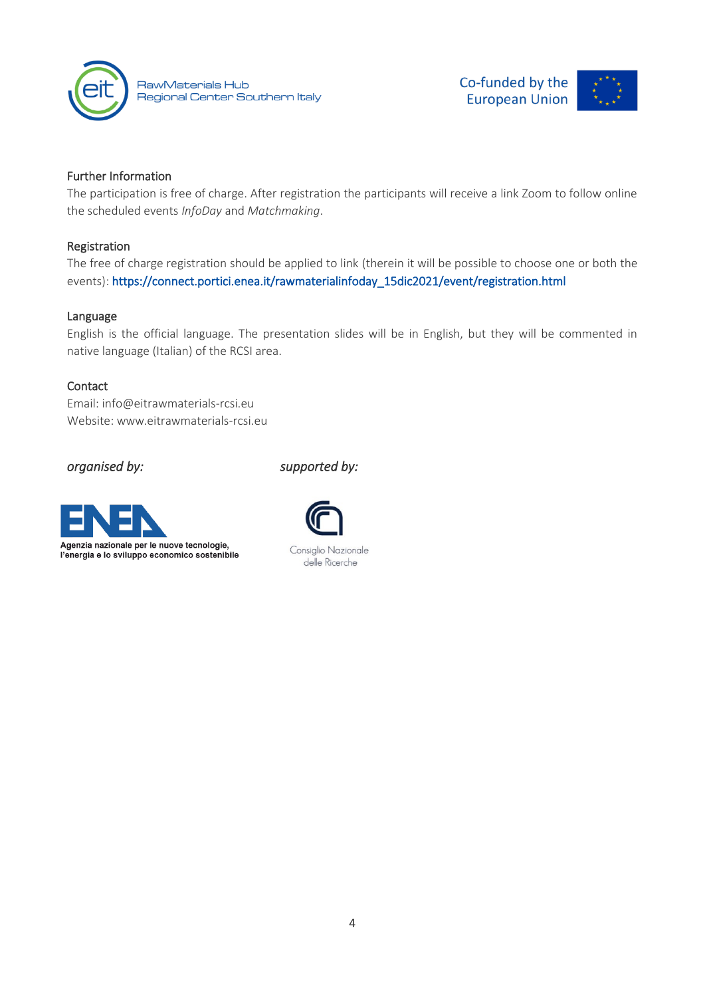

RawMaterials Hub Regional Center Southern Italy Co-funded by the **European Union** 

### Further Information

The participation is free of charge. After registration the participants will receive a link Zoom to follow online the scheduled events *InfoDay* and *Matchmaking*.

#### Registration

The free of charge registration should be applied to link (therein it will be possible to choose one or both the events)[: https://connect.portici.enea.it/rawmaterialinfoday\\_15dic2021/event/registration.html](https://connect.portici.enea.it/rawmaterialinfoday_15dic2021/event/registration.html)

#### Language

English is the official language. The presentation slides will be in English, but they will be commented in native language (Italian) of the RCSI area.

#### **Contact**

Email: [info@eitrawmaterials-rcsi.eu](mailto:info@eitrawmaterials-rcsi.eu) Website: www.eitrawmaterials-rcsi.eu

*organised by: supported by:*